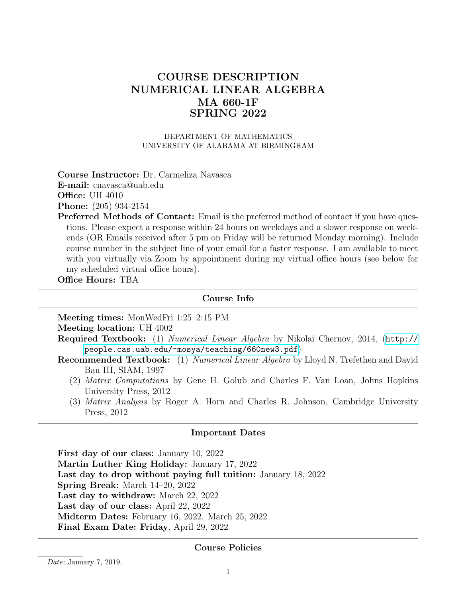# COURSE DESCRIPTION NUMERICAL LINEAR ALGEBRA MA 660-1F SPRING 2022

DEPARTMENT OF MATHEMATICS UNIVERSITY OF ALABAMA AT BIRMINGHAM

Course Instructor: Dr. Carmeliza Navasca E-mail: cnavasca@uab.edu

**Office: UH 4010** 

Phone: (205) 934-2154

Preferred Methods of Contact: Email is the preferred method of contact if you have questions. Please expect a response within 24 hours on weekdays and a slower response on weekends (OR Emails received after 5 pm on Friday will be returned Monday morning). Include course number in the subject line of your email for a faster response. I am available to meet with you virtually via Zoom by appointment during my virtual office hours (see below for my scheduled virtual office hours).

Office Hours: TBA

### Course Info

Meeting times: MonWedFri 1:25–2:15 PM

Meeting location: UH 4002

- Required Textbook: (1) Numerical Linear Algebra by Nikolai Chernov, 2014, ([http://](http://people.cas.uab.edu/~mosya/teaching/660new3.pdf) [people.cas.uab.edu/~mosya/teaching/660new3.pdf](http://people.cas.uab.edu/~mosya/teaching/660new3.pdf))
- Recommended Textbook: (1) Numerical Linear Algebra by Lloyd N. Trefethen and David Bau III, SIAM, 1997
	- (2) Matrix Computations by Gene H. Golub and Charles F. Van Loan, Johns Hopkins University Press, 2012
	- (3) Matrix Analysis by Roger A. Horn and Charles R. Johnson, Cambridge University Press, 2012

### Important Dates

First day of our class: January 10, 2022 Martin Luther King Holiday: January 17, 2022 Last day to drop without paying full tuition: January 18, 2022 Spring Break: March 14–20, 2022 Last day to withdraw: March 22, 2022 Last day of our class: April 22, 2022 Midterm Dates: February 16, 2022. March 25, 2022 Final Exam Date: Friday, April 29, 2022

### Course Policies

Date: January 7, 2019.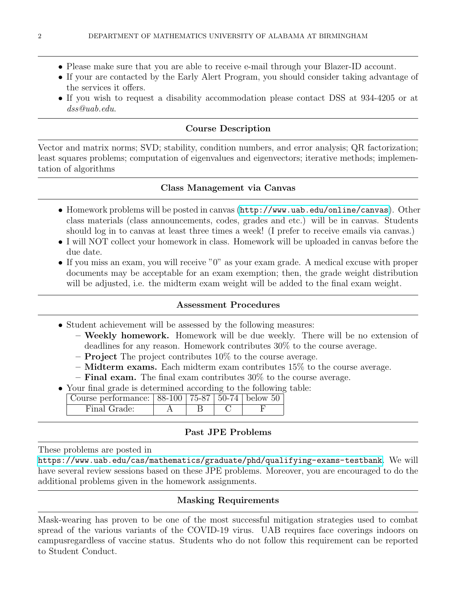- Please make sure that you are able to receive e-mail through your Blazer-ID account.
- If your are contacted by the Early Alert Program, you should consider taking advantage of the services it offers.
- If you wish to request a disability accommodation please contact DSS at 934-4205 or at dss@uab.edu.

# Course Description

Vector and matrix norms; SVD; stability, condition numbers, and error analysis; QR factorization; least squares problems; computation of eigenvalues and eigenvectors; iterative methods; implementation of algorithms

# Class Management via Canvas

- Homework problems will be posted in canvas (<http://www.uab.edu/online/canvas>). Other class materials (class announcements, codes, grades and etc.) will be in canvas. Students should log in to canvas at least three times a week! (I prefer to receive emails via canvas.)
- I will NOT collect your homework in class. Homework will be uploaded in canvas before the due date.
- If you miss an exam, you will receive "0" as your exam grade. A medical excuse with proper documents may be acceptable for an exam exemption; then, the grade weight distribution will be adjusted, i.e. the midterm exam weight will be added to the final exam weight.

### Assessment Procedures

- Student achievement will be assessed by the following measures:
	- Weekly homework. Homework will be due weekly. There will be no extension of deadlines for any reason. Homework contributes 30% to the course average.
	- Project The project contributes 10% to the course average.
	- $-$  Midterm exams. Each midterm exam contributes 15% to the course average.
	- **Final exam.** The final exam contributes  $30\%$  to the course average.
- Your final grade is determined according to the following table:

| Course performance: $  88-100   75-87   50-74  $ below 50 |  |  |
|-----------------------------------------------------------|--|--|
| Final Grade:                                              |  |  |

### Past JPE Problems

These problems are posted in

<https://www.uab.edu/cas/mathematics/graduate/phd/qualifying-exams-testbank>. We will have several review sessions based on these JPE problems. Moreover, you are encouraged to do the additional problems given in the homework assignments.

# Masking Requirements

Mask-wearing has proven to be one of the most successful mitigation strategies used to combat spread of the various variants of the COVID-19 virus. UAB requires face coverings indoors on campusregardless of vaccine status. Students who do not follow this requirement can be reported to Student Conduct.